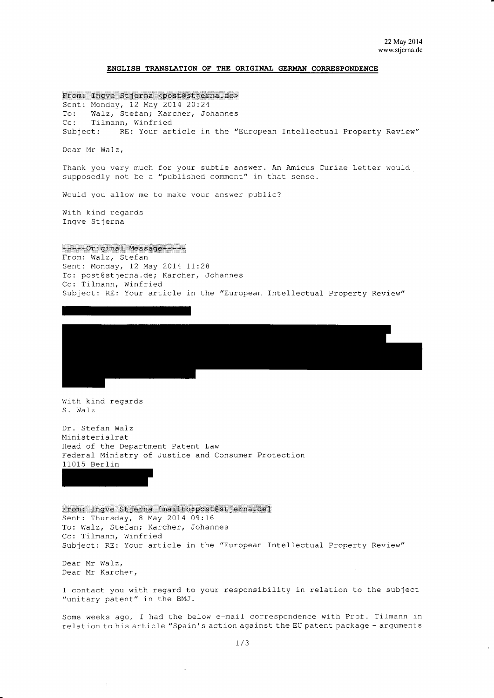$\bar{\chi}$ 

## ENGLISH TRANSLATION OF THE ORIGINAL GERMAN CORRESPONDENCE

From: Inqve Stjerna <post@stjerna.de>

Sent: Monday, 12 May 2014 20:24 Walz, Stefan; Karcher, Johannes  $To:$ Tilmann, Winfried  $Cc:$ RE: Your article in the "European Intellectual Property Review" Subject:

Dear Mr Walz,

Thank you very much for your subtle answer. An Amicus Curiae Letter would supposedly not be a "published comment" in that sense.

Would you allow me to make your answer public?

With kind regards Ingve Stjerna

------Original Message-----

From: Walz, Stefan Sent: Monday, 12 May 2014 11:28 To: post@stjerna.de; Karcher, Johannes Cc: Tilmann, Winfried Subject: RE: Your article in the "European Intellectual Property Review"



With kind regards S. Walz

Dr. Stefan Walz Ministerialrat Head of the Department Patent Law Federal Ministry of Justice and Consumer Protection 11015 Berlin

From: Ingve Stjerna [mailto:post@stjerna.de] Sent: Thursday, 8 May 2014 09:16 To: Walz, Stefan; Karcher, Johannes Cc: Tilmann, Winfried Subject: RE: Your article in the "European Intellectual Property Review"

Dear Mr Walz, Dear Mr Karcher,

I contact you with regard to your responsibility in relation to the subject "unitary patent" in the BMJ.

Some weeks ago, I had the below e-mail correspondence with Prof. Tilmann in relation to his article "Spain's action against the EU patent package - arguments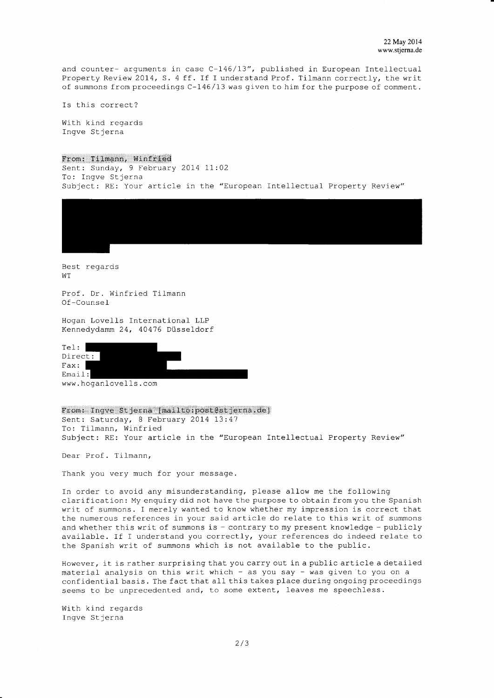and counter- arguments in case  $C-146/13$ ", published in European Intellectual Property Review 20I4, S. 4 ff. If I understand Prof. TiLmann correctly, the writ of summons from proceedings C-146/13 was given to him for the purpose of comment.

Is this correct?

With kind regards Ingve Stjerna

## From: Tilmann, winfried

Sent: Sunday, 9 February 2014 11:02 To: fngve Stjerna Subject: RE: Your article in the "European Intellectual Property Review"



Best regards WT

Prof. Dr. Winfried Tilmann Of-Counse I

Hogan Lovells International LLP Kennedydamm 24, 40416 DüsseLdorf

| Tel:                 |  |
|----------------------|--|
| Direct:              |  |
| Fast:                |  |
| Email:               |  |
| www.hoqanlovells.com |  |

From: Inqve Stjerna [mailto:post@stjerna.de] Sent: Saturday, 8 February 2014 13:47 To: Tilmann, Winfried Subject: RE: Your article in the "European Intellectual Property Review"

Dear Prof. Tilmann,

Thank you very much for your message.

In order to avoid any misunderstanding, please allow me the following clarification: My enquiry did not have the purpose to obtain from you the Spanish writ of summons. I merely wanted to know whether my impresslon is correct that the numerous references in your said article do relate to this writ of summons and whether this writ of summons is  $-$  contrary to my present knowledge  $-$  publicly available. If I understand you correctly, your references do indeed relate to the Spanish writ of summons which is not available to the public.

However, it is rather surprising that you carry out in a public article a detailed material analysis on this writ which - as you say - was given to you on a confidential basis. The fact that all this takes place during ongoing proceedings seems to be unprecedented and, to some extent, leaves me speechless.

With kind regards Ingve Stjerna